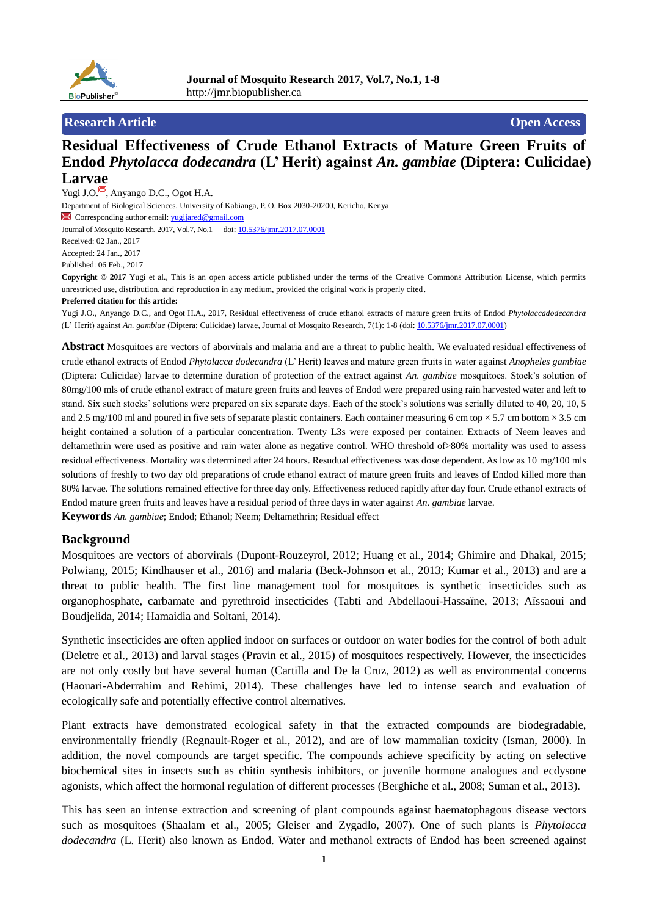

## **Research Article Open Access**

# **Residual Effectiveness of Crude Ethanol Extracts of Mature Green Fruits of Endod** *Phytolacca dodecandra* **(L' Herit) against** *An. gambiae* **(Diptera: Culicidae) Larvae**

Yugi J.O. , Anyango D.C., Ogot H.A. Department of Biological Sciences, University of Kabianga, P. O. Box 2030-20200, Kericho, Kenya **Corresponding author email:** [yugijared@gmail.com](mailto:yugijared@gmail.com) Journal of Mosquito Research, 2017, Vol.7, No.1 doi: [10.5376/jmr.2017.07.0001](http://dx.doi.org/10.5376/jmr.2017.07.0001) Received: 02 Jan., 2017 Accepted: 24 Jan., 2017 Published: 06 Feb., 2017

**Copyright © 2017** Yugi et al., This is an open access article published under the terms of the Creative Commons Attribution License, which permits unrestricted use, distribution, and reproduction in any medium, provided the original work is properly cited.

#### **Preferred citation for this article:**

Yugi J.O., Anyango D.C., and Ogot H.A., 2017, Residual effectiveness of crude ethanol extracts of mature green fruits of Endod *Phytolaccadodecandra* (L' Herit) against *An. gambiae* (Diptera: Culicidae) larvae, Journal of Mosquito Research, 7(1): 1-8 (doi[: 10.5376/jmr.2017.07.0001\)](http://dx.doi.org/10.5376/jmr.2017.07.0001)

**Abstract** Mosquitoes are vectors of aborvirals and malaria and are a threat to public health. We evaluated residual effectiveness of crude ethanol extracts of Endod *Phytolacca dodecandra* (L' Herit) leaves and mature green fruits in water against *Anopheles gambiae* (Diptera: Culicidae) larvae to determine duration of protection of the extract against *An. gambiae* mosquitoes. Stock's solution of 80mg/100 mls of crude ethanol extract of mature green fruits and leaves of Endod were prepared using rain harvested water and left to stand. Six such stocks' solutions were prepared on six separate days. Each of the stock's solutions was serially diluted to 40, 20, 10, 5 and 2.5 mg/100 ml and poured in five sets of separate plastic containers. Each container measuring 6 cm top  $\times$  5.7 cm bottom  $\times$  3.5 cm height contained a solution of a particular concentration. Twenty L3s were exposed per container. Extracts of Neem leaves and deltamethrin were used as positive and rain water alone as negative control. WHO threshold of>80% mortality was used to assess residual effectiveness. Mortality was determined after 24 hours. Resudual effectiveness was dose dependent. As low as 10 mg/100 mls solutions of freshly to two day old preparations of crude ethanol extract of mature green fruits and leaves of Endod killed more than 80% larvae. The solutions remained effective for three day only. Effectiveness reduced rapidly after day four. Crude ethanol extracts of Endod mature green fruits and leaves have a residual period of three days in water against *An. gambiae* larvae.

**Keywords** *An. gambiae*; Endod; Ethanol; Neem; Deltamethrin; Residual effect

## **Background**

Mosquitoes are vectors of aborvirals (Dupont-Rouzeyrol, 2012; Huang et al., 2014; Ghimire and Dhakal, 2015; Polwiang, 2015; Kindhauser et al., 2016) and malaria (Beck-Johnson et al., 2013; Kumar et al., 2013) and are a threat to public health. The first line management tool for mosquitoes is synthetic insecticides such as organophosphate, carbamate and pyrethroid insecticides (Tabti and Abdellaoui-Hassaïne, 2013; Aïssaoui and Boudjelida, 2014; Hamaidia and Soltani, 2014).

Synthetic insecticides are often applied indoor on surfaces or outdoor on water bodies for the control of both adult (Deletre et al., 2013) and larval stages (Pravin et al., 2015) of mosquitoes respectively. However, the insecticides are not only costly but have several human (Cartilla and De la Cruz, 2012) as well as environmental concerns (Haouari-Abderrahim and Rehimi, 2014). These challenges have led to intense search and evaluation of ecologically safe and potentially effective control alternatives.

Plant extracts have demonstrated ecological safety in that the extracted compounds are biodegradable, environmentally friendly (Regnault-Roger et al., 2012), and are of low mammalian toxicity (Isman, 2000). In addition, the novel compounds are target specific. The compounds achieve specificity by acting on selective biochemical sites in insects such as chitin synthesis inhibitors, or juvenile hormone analogues and ecdysone agonists, which affect the hormonal regulation of different processes (Berghiche et al., 2008; Suman et al., 2013).

This has seen an intense extraction and screening of plant compounds against haematophagous disease vectors such as mosquitoes (Shaalam et al., 2005; Gleiser and Zygadlo, 2007). One of such plants is *Phytolacca dodecandra* (L. Herit) also known as Endod. Water and methanol extracts of Endod has been screened against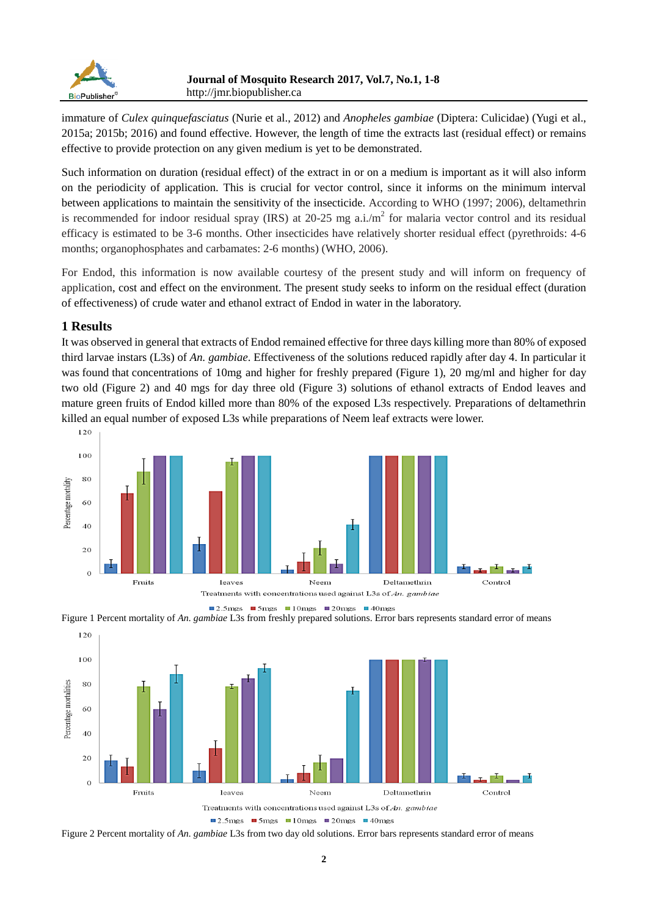

immature of *Culex quinquefasciatus* (Nurie et al., 2012) and *Anopheles gambiae* (Diptera: Culicidae) (Yugi et al., 2015a; 2015b; 2016) and found effective. However, the length of time the extracts last (residual effect) or remains effective to provide protection on any given medium is yet to be demonstrated.

Such information on duration (residual effect) of the extract in or on a medium is important as it will also inform on the periodicity of application. This is crucial for vector control, since it informs on the minimum interval between applications to maintain the sensitivity of the insecticide. According to WHO (1997; 2006), deltamethrin is recommended for indoor residual spray (IRS) at 20-25 mg a.i./ $m<sup>2</sup>$  for malaria vector control and its residual efficacy is estimated to be 3-6 months. Other insecticides have relatively shorter residual effect (pyrethroids: 4-6 months; organophosphates and carbamates: 2-6 months) (WHO, 2006).

For Endod, this information is now available courtesy of the present study and will inform on frequency of application, cost and effect on the environment. The present study seeks to inform on the residual effect (duration of effectiveness) of crude water and ethanol extract of Endod in water in the laboratory.

# **1 Results**

It was observed in general that extracts of Endod remained effective for three days killing more than 80% of exposed third larvae instars (L3s) of *An. gambiae*. Effectiveness of the solutions reduced rapidly after day 4. In particular it was found that concentrations of 10mg and higher for freshly prepared (Figure 1), 20 mg/ml and higher for day two old (Figure 2) and 40 mgs for day three old (Figure 3) solutions of ethanol extracts of Endod leaves and mature green fruits of Endod killed more than 80% of the exposed L3s respectively. Preparations of deltamethrin killed an equal number of exposed L3s while preparations of Neem leaf extracts were lower.







Figure 2 Percent mortality of *An. gambiae* L3s from two day old solutions. Error bars represents standard error of means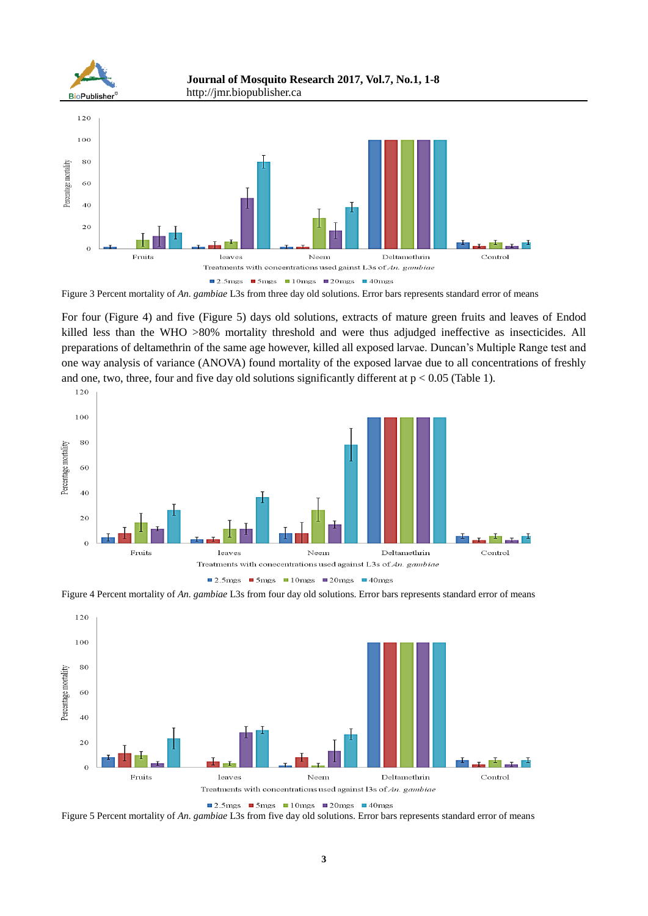

Figure 3 Percent mortality of *An. gambiae* L3s from three day old solutions. Error bars represents standard error of means

For four (Figure 4) and five (Figure 5) days old solutions, extracts of mature green fruits and leaves of Endod killed less than the WHO >80% mortality threshold and were thus adjudged ineffective as insecticides. All preparations of deltamethrin of the same age however, killed all exposed larvae. Duncan's Multiple Range test and one way analysis of variance (ANOVA) found mortality of the exposed larvae due to all concentrations of freshly and one, two, three, four and five day old solutions significantly different at  $p < 0.05$  (Table 1).



Figure 4 Percent mortality of *An. gambiae* L3s from four day old solutions. Error bars represents standard error of means



<sup>■ 2.5</sup> mgs ■ 5 mgs ■ 10 mgs ■ 20 mgs ■ 40 mgs

Figure 5 Percent mortality of *An. gambiae* L3s from five day old solutions. Error bars represents standard error of means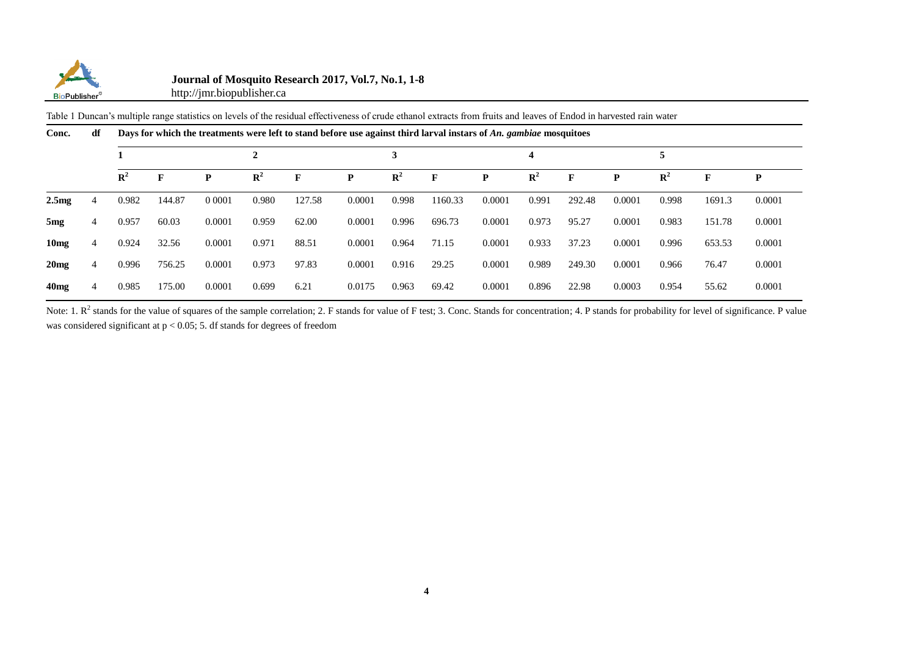

## **Journal of Mosquito Research 2017, Vol.7, No.1, 1-8**

http://jmr.biopublisher.ca

Table 1 Duncan's multiple range statistics on levels of the residual effectiveness of crude ethanol extracts from fruits and leaves of Endod in harvested rain water

| Conc.            | df | Days for which the treatments were left to stand before use against third larval instars of An. gambiae mosquitoes |        |           |                |        |        |                |         |        |                |              |        |                |        |        |
|------------------|----|--------------------------------------------------------------------------------------------------------------------|--------|-----------|----------------|--------|--------|----------------|---------|--------|----------------|--------------|--------|----------------|--------|--------|
|                  |    |                                                                                                                    |        |           |                |        |        | 3              |         |        |                |              |        |                |        |        |
|                  |    | $\mathbf{R}^2$                                                                                                     |        | P         | $\mathbf{R}^2$ | F      | P      | $\mathbf{R}^2$ | F       | P      | $\mathbf{R}^2$ | $\mathbf{F}$ | P      | $\mathbb{R}^2$ |        | P      |
| 2.5mg            | 4  | 0.982                                                                                                              | 144.87 | 0 0 0 0 1 | 0.980          | 127.58 | 0.0001 | 0.998          | 1160.33 | 0.0001 | 0.991          | 292.48       | 0.0001 | 0.998          | 1691.3 | 0.0001 |
| 5 <sub>mg</sub>  | 4  | 0.957                                                                                                              | 60.03  | 0.0001    | 0.959          | 62.00  | 0.0001 | 0.996          | 696.73  | 0.0001 | 0.973          | 95.27        | 0.0001 | 0.983          | 151.78 | 0.0001 |
| 10 <sub>mg</sub> | 4  | 0.924                                                                                                              | 32.56  | 0.0001    | 0.971          | 88.51  | 0.0001 | 0.964          | 71.15   | 0.0001 | 0.933          | 37.23        | 0.0001 | 0.996          | 653.53 | 0.0001 |
| 20mg             | 4  | 0.996                                                                                                              | 756.25 | 0.0001    | 0.973          | 97.83  | 0.0001 | 0.916          | 29.25   | 0.0001 | 0.989          | 249.30       | 0.0001 | 0.966          | 76.47  | 0.0001 |
| 40mg             | 4  | 0.985                                                                                                              | 175.00 | 0.0001    | 0.699          | 6.21   | 0.0175 | 0.963          | 69.42   | 0.0001 | 0.896          | 22.98        | 0.0003 | 0.954          | 55.62  | 0.0001 |

Note: 1.  $R^2$  stands for the value of squares of the sample correlation; 2. F stands for value of F test; 3. Conc. Stands for concentration; 4. P stands for probability for level of significance. P value was considered significant at  $p < 0.05$ ; 5. df stands for degrees of freedom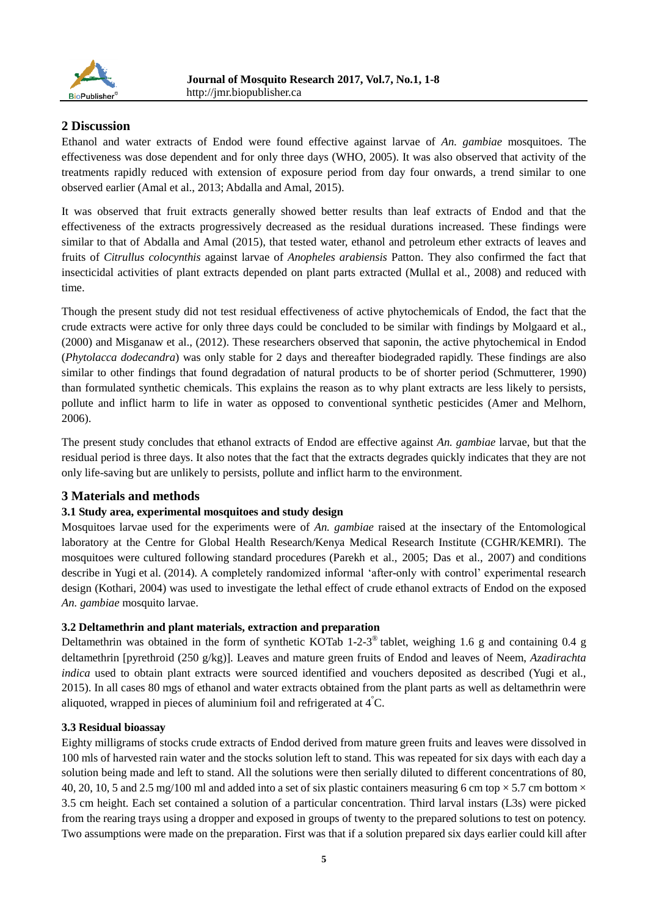

# **2 Discussion**

Ethanol and water extracts of Endod were found effective against larvae of *An. gambiae* mosquitoes. The effectiveness was dose dependent and for only three days (WHO, 2005). It was also observed that activity of the treatments rapidly reduced with extension of exposure period from day four onwards, a trend similar to one observed earlier (Amal et al., 2013; Abdalla and Amal, 2015).

It was observed that fruit extracts generally showed better results than leaf extracts of Endod and that the effectiveness of the extracts progressively decreased as the residual durations increased. These findings were similar to that of Abdalla and Amal (2015), that tested water, ethanol and petroleum ether extracts of leaves and fruits of *Citrullus colocynthis* against larvae of *Anopheles arabiensis* Patton. They also confirmed the fact that insecticidal activities of plant extracts depended on plant parts extracted (Mullal et al., 2008) and reduced with time.

Though the present study did not test residual effectiveness of active phytochemicals of Endod, the fact that the crude extracts were active for only three days could be concluded to be similar with findings by Molgaard et al., (2000) and Misganaw et al., (2012). These researchers observed that saponin, the active phytochemical in Endod (*Phytolacca dodecandra*) was only stable for 2 days and thereafter biodegraded rapidly. These findings are also similar to other findings that found degradation of natural products to be of shorter period (Schmutterer, 1990) than formulated synthetic chemicals. This explains the reason as to why plant extracts are less likely to persists, pollute and inflict harm to life in water as opposed to conventional synthetic pesticides (Amer and Melhorn, 2006).

The present study concludes that ethanol extracts of Endod are effective against *An. gambiae* larvae, but that the residual period is three days. It also notes that the fact that the extracts degrades quickly indicates that they are not only life-saving but are unlikely to persists, pollute and inflict harm to the environment.

# **3 Materials and methods**

# **3.1 Study area, experimental mosquitoes and study design**

Mosquitoes larvae used for the experiments were of *An. gambiae* raised at the insectary of the Entomological laboratory at the Centre for Global Health Research/Kenya Medical Research Institute (CGHR/KEMRI). The mosquitoes were cultured following standard procedures (Parekh et al., 2005; Das et al., 2007) and conditions describe in Yugi et al. (2014). A completely randomized informal 'after-only with control' experimental research design (Kothari, 2004) was used to investigate the lethal effect of crude ethanol extracts of Endod on the exposed *An. gambiae* mosquito larvae.

## **3.2 Deltamethrin and plant materials, extraction and preparation**

Deltamethrin was obtained in the form of synthetic KOTab 1-2-3<sup>®</sup> tablet, weighing 1.6 g and containing 0.4 g deltamethrin [pyrethroid (250 g/kg)]. Leaves and mature green fruits of Endod and leaves of Neem, *Azadirachta indica* used to obtain plant extracts were sourced identified and vouchers deposited as described (Yugi et al., 2015). In all cases 80 mgs of ethanol and water extracts obtained from the plant parts as well as deltamethrin were aliquoted, wrapped in pieces of aluminium foil and refrigerated at  $4\text{ }C$ .

## **3.3 Residual bioassay**

Eighty milligrams of stocks crude extracts of Endod derived from mature green fruits and leaves were dissolved in 100 mls of harvested rain water and the stocks solution left to stand. This was repeated for six days with each day a solution being made and left to stand. All the solutions were then serially diluted to different concentrations of 80, 40, 20, 10, 5 and 2.5 mg/100 ml and added into a set of six plastic containers measuring 6 cm top  $\times$  5.7 cm bottom  $\times$ 3.5 cm height. Each set contained a solution of a particular concentration. Third larval instars (L3s) were picked from the rearing trays using a dropper and exposed in groups of twenty to the prepared solutions to test on potency. Two assumptions were made on the preparation. First was that if a solution prepared six days earlier could kill after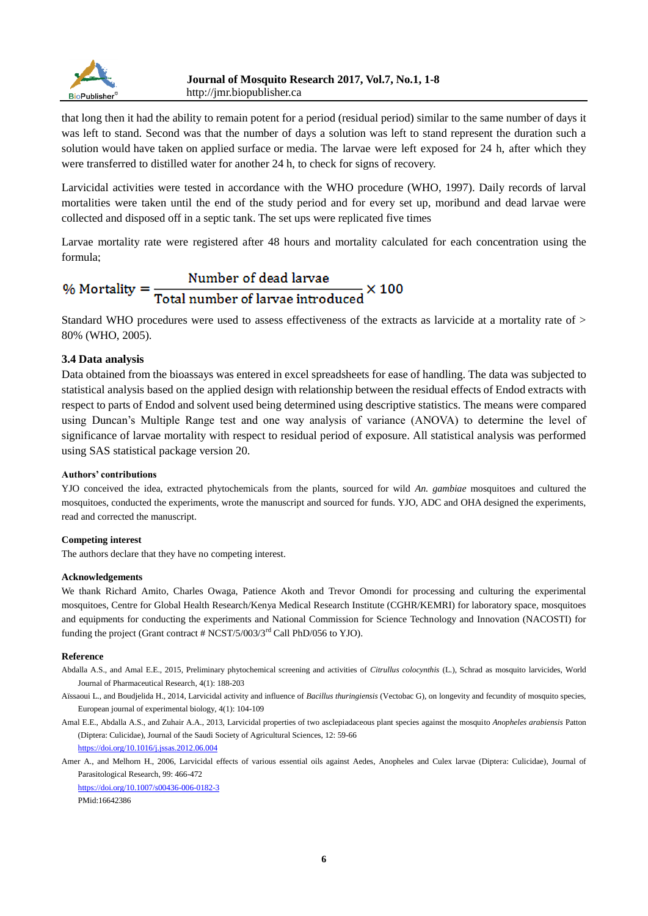

that long then it had the ability to remain potent for a period (residual period) similar to the same number of days it was left to stand. Second was that the number of days a solution was left to stand represent the duration such a solution would have taken on applied surface or media. The larvae were left exposed for 24 h, after which they were transferred to distilled water for another 24 h, to check for signs of recovery.

Larvicidal activities were tested in accordance with the WHO procedure (WHO, 1997). Daily records of larval mortalities were taken until the end of the study period and for every set up, moribund and dead larvae were collected and disposed off in a septic tank. The set ups were replicated five times

Larvae mortality rate were registered after 48 hours and mortality calculated for each concentration using the formula;

# % Mortality =  $\frac{\text{Number of dead larvae}}{\text{Total number of larvae introduced}} \times 100$

Standard WHO procedures were used to assess effectiveness of the extracts as larvicide at a mortality rate of > 80% (WHO, 2005).

## **3.4 Data analysis**

Data obtained from the bioassays was entered in excel spreadsheets for ease of handling. The data was subjected to statistical analysis based on the applied design with relationship between the residual effects of Endod extracts with respect to parts of Endod and solvent used being determined using descriptive statistics. The means were compared using Duncan's Multiple Range test and one way analysis of variance (ANOVA) to determine the level of significance of larvae mortality with respect to residual period of exposure. All statistical analysis was performed using SAS statistical package version 20.

## **Authors' contributions**

YJO conceived the idea, extracted phytochemicals from the plants, sourced for wild *An. gambiae* mosquitoes and cultured the mosquitoes, conducted the experiments, wrote the manuscript and sourced for funds. YJO, ADC and OHA designed the experiments, read and corrected the manuscript.

#### **Competing interest**

The authors declare that they have no competing interest.

#### **Acknowledgements**

We thank Richard Amito, Charles Owaga, Patience Akoth and Trevor Omondi for processing and culturing the experimental mosquitoes, Centre for Global Health Research/Kenya Medical Research Institute (CGHR/KEMRI) for laboratory space, mosquitoes and equipments for conducting the experiments and National Commission for Science Technology and Innovation (NACOSTI) for funding the project (Grant contract  $\# NCST/5/003/3^{rd}$  Call PhD/056 to YJO).

#### **Reference**

- Abdalla A.S., and Amal E.E., 2015, Preliminary phytochemical screening and activities of *Citrullus colocynthis* (L.), Schrad as mosquito larvicides, World Journal of Pharmaceutical Research, 4(1): 188-203
- Aïssaoui L., and Boudjelida H., 2014, Larvicidal activity and influence of *Bacillus thuringiensis* (Vectobac G), on longevity and fecundity of mosquito species, European journal of experimental biology, 4(1): 104-109
- Amal E.E., Abdalla A.S., and Zuhair A.A., 2013, Larvicidal properties of two asclepiadaceous plant species against the mosquito *Anopheles arabiensis* Patton (Diptera: Culicidae), Journal of the Saudi Society of Agricultural Sciences, 12: 59-66 <https://doi.org/10.1016/j.jssas.2012.06.004>

Amer A., and Melhorn H., 2006, Larvicidal effects of various essential oils against Aedes, Anopheles and Culex larvae (Diptera: Culicidae), Journal of Parasitological Research, 99: 466-472

<https://doi.org/10.1007/s00436-006-0182-3> PMid:16642386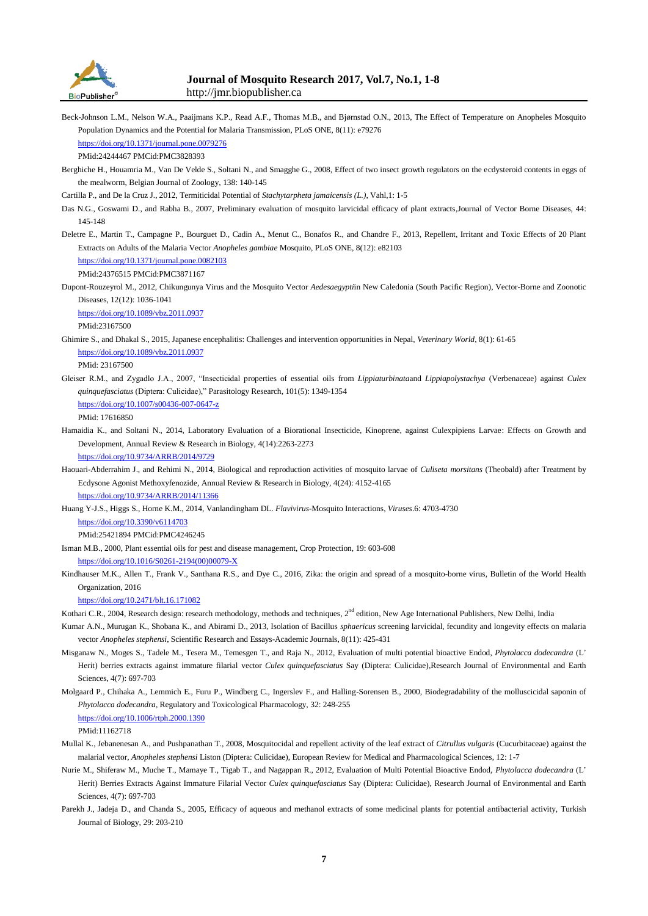

## **Journal of Mosquito Research 2017, Vol.7, No.1, 1-8** http://jmr.biopublisher.ca

Beck-Johnson L.M., Nelson W.A., Paaijmans K.P., Read A.F., Thomas M.B., and Bjørnstad O.N., 2013, The Effect of Temperature on Anopheles Mosquito Population Dynamics and the Potential for Malaria Transmission, PLoS ONE, 8(11): e79276 <https://doi.org/10.1371/journal.pone.0079276>

PMid:24244467 PMCid:PMC3828393

Berghiche H., Houamria M., Van De Velde S., Soltani N., and Smagghe G., 2008, Effect of two insect growth regulators on the ecdysteroid contents in eggs of the mealworm, Belgian Journal of Zoology, 138: 140-145

Cartilla P., and De la Cruz J., 2012, Termiticidal Potential of *Stachytarpheta jamaicensis (L.)*, Vahl,1: 1-5

- Das N.G., Goswami D., and Rabha B., 2007, Preliminary evaluation of mosquito larvicidal efficacy of plant extracts,Journal of Vector Borne Diseases, 44: 145-148
- Deletre E., Martin T., Campagne P., Bourguet D., Cadin A., Menut C., Bonafos R., and Chandre F., 2013, Repellent, Irritant and Toxic Effects of 20 Plant Extracts on Adults of the Malaria Vector *Anopheles gambiae* Mosquito, PLoS ONE, 8(12): e82103

<https://doi.org/10.1371/journal.pone.0082103> PMid:24376515 PMCid:PMC3871167

Dupont-Rouzeyrol M., 2012, Chikungunya Virus and the Mosquito Vector *Aedesaegypti*in New Caledonia (South Pacific Region), Vector-Borne and Zoonotic Diseases, 12(12): 1036-1041

<https://doi.org/10.1089/vbz.2011.0937>

PMid:23167500

Ghimire S., and Dhakal S., 2015, Japanese encephalitis: Challenges and intervention opportunities in Nepal, *Veterinary World*, 8(1): 61-65 <https://doi.org/10.1089/vbz.2011.0937>

PMid: 23167500

Gleiser R.M., and Zygadlo J.A., 2007, "Insecticidal properties of essential oils from *Lippiaturbinata*and *Lippiapolystachya* (Verbenaceae) against *Culex quinquefasciatus* (Diptera: Culicidae)," Parasitology Research, 101(5): 1349-1354

<https://doi.org/10.1007/s00436-007-0647-z>

PMid: 17616850

Hamaidia K., and Soltani N., 2014, Laboratory Evaluation of a Biorational Insecticide, Kinoprene, against Culexpipiens Larvae: Effects on Growth and Development, Annual Review & Research in Biology, 4(14):2263-2273

<https://doi.org/10.9734/ARRB/2014/9729>

Haouari-Abderrahim J., and Rehimi N., 2014, Biological and reproduction activities of mosquito larvae of *Culiseta morsitans* (Theobald) after Treatment by Ecdysone Agonist Methoxyfenozide, Annual Review & Research in Biology, 4(24): 4152-4165 <https://doi.org/10.9734/ARRB/2014/11366>

Huang Y-J.S., Higgs S., Horne K.M., 2014, Vanlandingham DL. *Flavivirus*-Mosquito Interactions, *Viruses*.6: 4703-4730 <https://doi.org/10.3390/v6114703>

PMid:25421894 PMCid:PMC4246245

- Isman M.B., 2000, Plant essential oils for pest and disease management, Crop Protection, 19: 603-608 [https://doi.org/10.1016/S0261-2194\(00\)00079-X](https://doi.org/10.1016/S0261-2194(00)00079-X)
- Kindhauser M.K., Allen T., Frank V., Santhana R.S., and Dye C., 2016, Zika: the origin and spread of a mosquito-borne virus, Bulletin of the World Health Organization, 2016

<https://doi.org/10.2471/blt.16.171082>

- Kothari C.R., 2004, Research design: research methodology, methods and techniques, 2<sup>nd</sup> edition, New Age International Publishers, New Delhi, India
- Kumar A.N., Murugan K., Shobana K., and Abirami D., 2013, Isolation of Bacillus *sphaericus* screening larvicidal, fecundity and longevity effects on malaria vector *Anopheles stephensi*, Scientific Research and Essays-Academic Journals, 8(11): 425-431
- Misganaw N., Moges S., Tadele M., Tesera M., Temesgen T., and Raja N., 2012, Evaluation of multi potential bioactive Endod, *Phytolacca dodecandra* (L' Herit) berries extracts against immature filarial vector *Culex quinquefasciatus* Say (Diptera: Culicidae),Research Journal of Environmental and Earth Sciences, 4(7): 697-703
- Molgaard P., Chihaka A., Lemmich E., Furu P., Windberg C., Ingerslev F., and Halling-Sorensen B., 2000, Biodegradability of the molluscicidal saponin of *Phytolacca dodecandra*, Regulatory and Toxicological Pharmacology, 32: 248-255 <https://doi.org/10.1006/rtph.2000.1390>

PMid:11162718

- Mullal K., Jebanenesan A., and Pushpanathan T., 2008, Mosquitocidal and repellent activity of the leaf extract of *Citrullus vulgaris* (Cucurbitaceae) against the malarial vector, *Anopheles stephensi* Liston (Diptera: Culicidae), European Review for Medical and Pharmacological Sciences, 12: 1-7
- Nurie M., Shiferaw M., Muche T., Mamaye T., Tigab T., and Nagappan R., 2012, Evaluation of Multi Potential Bioactive Endod, *Phytolacca dodecandra* (L' Herit) Berries Extracts Against Immature Filarial Vector *Culex quinquefasciatus* Say (Diptera: Culicidae), Research Journal of Environmental and Earth Sciences, 4(7): 697-703
- Parekh J., Jadeja D., and Chanda S., 2005, Efficacy of aqueous and methanol extracts of some medicinal plants for potential antibacterial activity, Turkish Journal of Biology, 29: 203-210